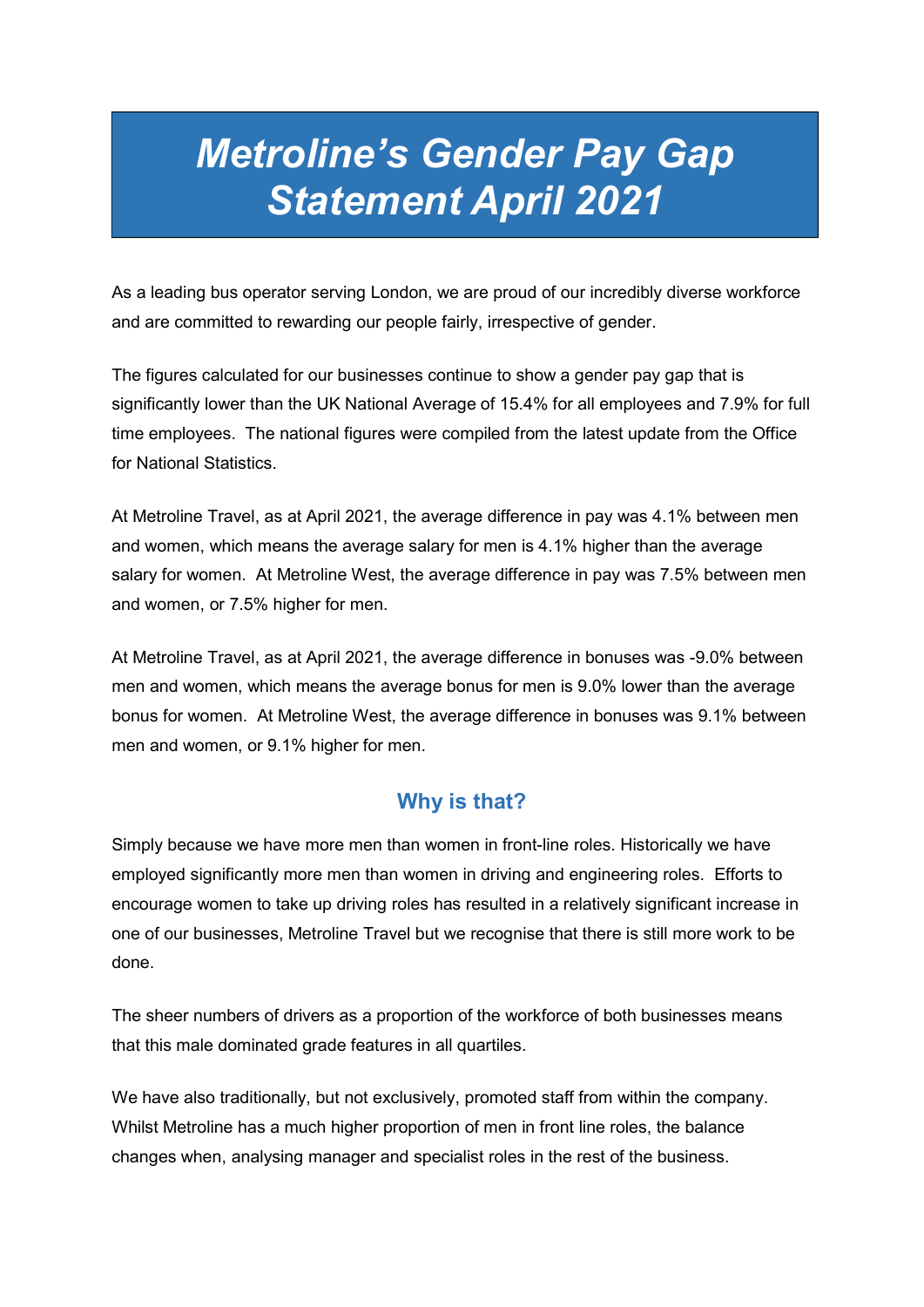# Metroline's Gender Pay Gap Statement April 2021

As a leading bus operator serving London, we are proud of our incredibly diverse workforce and are committed to rewarding our people fairly, irrespective of gender.

The figures calculated for our businesses continue to show a gender pay gap that is significantly lower than the UK National Average of 15.4% for all employees and 7.9% for full time employees. The national figures were compiled from the latest update from the Office for National Statistics.

At Metroline Travel, as at April 2021, the average difference in pay was 4.1% between men and women, which means the average salary for men is 4.1% higher than the average salary for women. At Metroline West, the average difference in pay was 7.5% between men and women, or 7.5% higher for men.

At Metroline Travel, as at April 2021, the average difference in bonuses was -9.0% between men and women, which means the average bonus for men is 9.0% lower than the average bonus for women. At Metroline West, the average difference in bonuses was 9.1% between men and women, or 9.1% higher for men.

## Why is that?

Simply because we have more men than women in front-line roles. Historically we have employed significantly more men than women in driving and engineering roles. Efforts to encourage women to take up driving roles has resulted in a relatively significant increase in one of our businesses, Metroline Travel but we recognise that there is still more work to be done.

The sheer numbers of drivers as a proportion of the workforce of both businesses means that this male dominated grade features in all quartiles.

We have also traditionally, but not exclusively, promoted staff from within the company. Whilst Metroline has a much higher proportion of men in front line roles, the balance changes when, analysing manager and specialist roles in the rest of the business.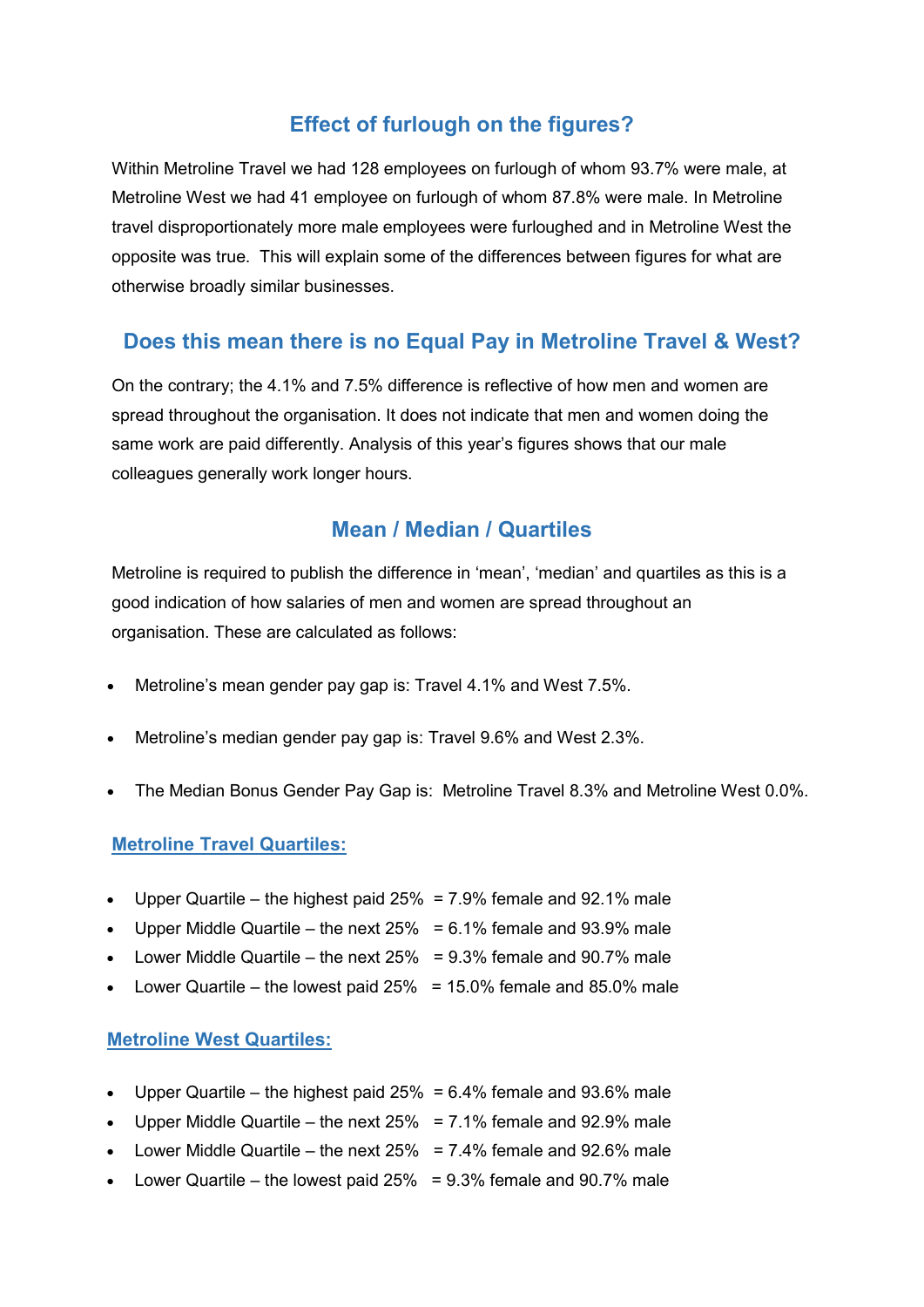# Effect of furlough on the figures?

Within Metroline Travel we had 128 employees on furlough of whom 93.7% were male, at Metroline West we had 41 employee on furlough of whom 87.8% were male. In Metroline travel disproportionately more male employees were furloughed and in Metroline West the opposite was true. This will explain some of the differences between figures for what are otherwise broadly similar businesses.

# Does this mean there is no Equal Pay in Metroline Travel & West?

On the contrary; the 4.1% and 7.5% difference is reflective of how men and women are spread throughout the organisation. It does not indicate that men and women doing the same work are paid differently. Analysis of this year's figures shows that our male colleagues generally work longer hours.

### Mean / Median / Quartiles

Metroline is required to publish the difference in 'mean', 'median' and quartiles as this is a good indication of how salaries of men and women are spread throughout an organisation. These are calculated as follows:

- Metroline's mean gender pay gap is: Travel 4.1% and West 7.5%.
- Metroline's median gender pay gap is: Travel 9.6% and West 2.3%.
- The Median Bonus Gender Pay Gap is: Metroline Travel 8.3% and Metroline West 0.0%.

#### Metroline Travel Quartiles:

- Upper Quartile the highest paid 25% = 7.9% female and 92.1% male
- Upper Middle Quartile the next  $25\% = 6.1\%$  female and 93.9% male
- Lower Middle Quartile the next  $25\%$  = 9.3% female and 90.7% male
- Lower Quartile the lowest paid  $25\%$  = 15.0% female and 85.0% male

#### Metroline West Quartiles:

- Upper Quartile the highest paid  $25\% = 6.4\%$  female and 93.6% male
- Upper Middle Quartile the next  $25\% = 7.1\%$  female and  $92.9\%$  male
- Lower Middle Quartile the next  $25\% = 7.4\%$  female and 92.6% male
- Lower Quartile the lowest paid  $25\%$  = 9.3% female and 90.7% male